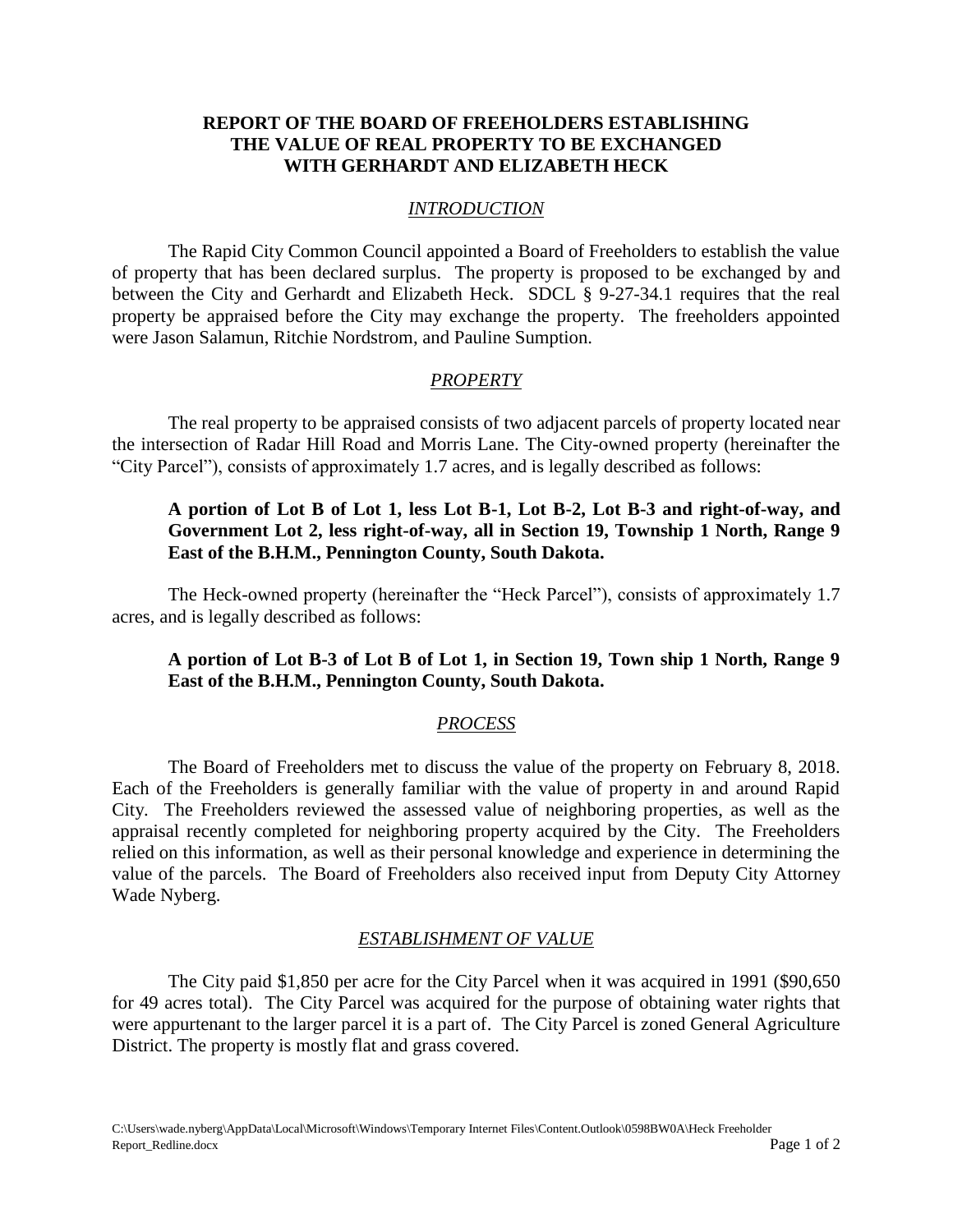## **REPORT OF THE BOARD OF FREEHOLDERS ESTABLISHING THE VALUE OF REAL PROPERTY TO BE EXCHANGED WITH GERHARDT AND ELIZABETH HECK**

#### *INTRODUCTION*

The Rapid City Common Council appointed a Board of Freeholders to establish the value of property that has been declared surplus. The property is proposed to be exchanged by and between the City and Gerhardt and Elizabeth Heck. SDCL § 9-27-34.1 requires that the real property be appraised before the City may exchange the property. The freeholders appointed were Jason Salamun, Ritchie Nordstrom, and Pauline Sumption.

#### *PROPERTY*

The real property to be appraised consists of two adjacent parcels of property located near the intersection of Radar Hill Road and Morris Lane. The City-owned property (hereinafter the "City Parcel"), consists of approximately 1.7 acres, and is legally described as follows:

## **A portion of Lot B of Lot 1, less Lot B-1, Lot B-2, Lot B-3 and right-of-way, and Government Lot 2, less right-of-way, all in Section 19, Township 1 North, Range 9 East of the B.H.M., Pennington County, South Dakota.**

The Heck-owned property (hereinafter the "Heck Parcel"), consists of approximately 1.7 acres, and is legally described as follows:

## **A portion of Lot B-3 of Lot B of Lot 1, in Section 19, Town ship 1 North, Range 9 East of the B.H.M., Pennington County, South Dakota.**

### *PROCESS*

The Board of Freeholders met to discuss the value of the property on February 8, 2018. Each of the Freeholders is generally familiar with the value of property in and around Rapid City. The Freeholders reviewed the assessed value of neighboring properties, as well as the appraisal recently completed for neighboring property acquired by the City. The Freeholders relied on this information, as well as their personal knowledge and experience in determining the value of the parcels. The Board of Freeholders also received input from Deputy City Attorney Wade Nyberg.

#### *ESTABLISHMENT OF VALUE*

The City paid \$1,850 per acre for the City Parcel when it was acquired in 1991 (\$90,650 for 49 acres total). The City Parcel was acquired for the purpose of obtaining water rights that were appurtenant to the larger parcel it is a part of. The City Parcel is zoned General Agriculture District. The property is mostly flat and grass covered.